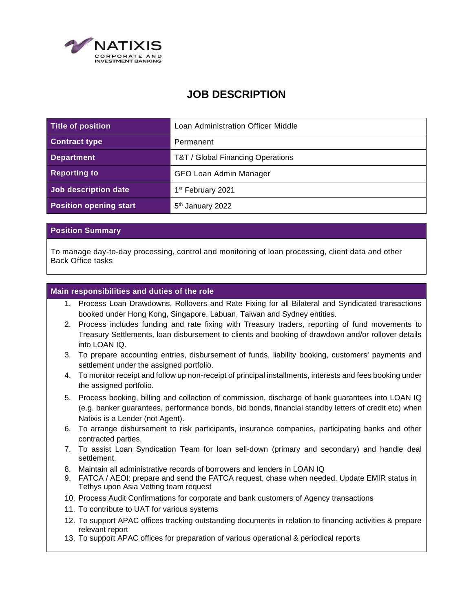

# **JOB DESCRIPTION**

| Title of position             | Loan Administration Officer Middle |
|-------------------------------|------------------------------------|
| <b>Contract type</b>          | Permanent                          |
| <b>Department</b>             | T&T / Global Financing Operations  |
| <b>Reporting to</b>           | GFO Loan Admin Manager             |
| Job description date          | 1 <sup>st</sup> February 2021      |
| <b>Position opening start</b> | 5 <sup>th</sup> January 2022       |

### **Position Summary**

To manage day-to-day processing, control and monitoring of loan processing, client data and other Back Office tasks

### **Main responsibilities and duties of the role**

- 1. Process Loan Drawdowns, Rollovers and Rate Fixing for all Bilateral and Syndicated transactions booked under Hong Kong, Singapore, Labuan, Taiwan and Sydney entities.
- 2. Process includes funding and rate fixing with Treasury traders, reporting of fund movements to Treasury Settlements, loan disbursement to clients and booking of drawdown and/or rollover details into LOAN IQ.
- 3. To prepare accounting entries, disbursement of funds, liability booking, customers' payments and settlement under the assigned portfolio.
- 4. To monitor receipt and follow up non-receipt of principal installments, interests and fees booking under the assigned portfolio.
- 5. Process booking, billing and collection of commission, discharge of bank guarantees into LOAN IQ (e.g. banker guarantees, performance bonds, bid bonds, financial standby letters of credit etc) when Natixis is a Lender (not Agent).
- 6. To arrange disbursement to risk participants, insurance companies, participating banks and other contracted parties.
- 7. To assist Loan Syndication Team for loan sell-down (primary and secondary) and handle deal settlement.
- 8. Maintain all administrative records of borrowers and lenders in LOAN IQ
- 9. FATCA / AEOI: prepare and send the FATCA request, chase when needed. Update EMIR status in Tethys upon Asia Vetting team request
- 10. Process Audit Confirmations for corporate and bank customers of Agency transactions
- 11. To contribute to UAT for various systems
- 12. To support APAC offices tracking outstanding documents in relation to financing activities & prepare relevant report
- 13. To support APAC offices for preparation of various operational & periodical reports